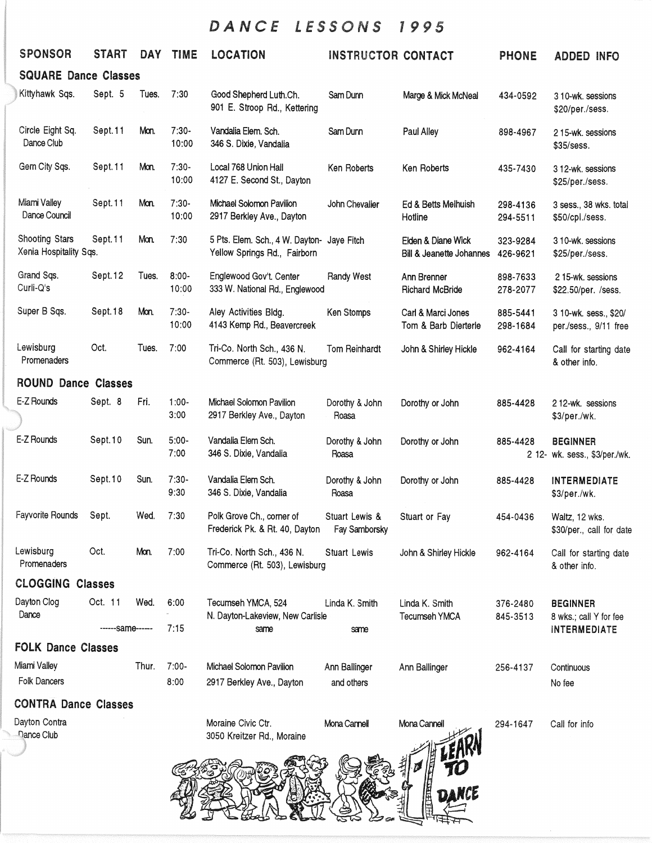## DANCE LESSONS 1995

|                             | <b>SPONSOR</b>                                | <b>START</b> | <b>DAY</b> | <b>TIME</b>       | <b>LOCATION</b>                                                            | <b>INSTRUCTOR CONTACT</b>       |                                                | <b>PHONE</b>         | <b>ADDED INFO</b>                                |  |
|-----------------------------|-----------------------------------------------|--------------|------------|-------------------|----------------------------------------------------------------------------|---------------------------------|------------------------------------------------|----------------------|--------------------------------------------------|--|
| <b>SQUARE Dance Classes</b> |                                               |              |            |                   |                                                                            |                                 |                                                |                      |                                                  |  |
|                             | Kittyhawk Sqs.                                | Sept. 5      | Tues.      | 7:30              | Good Shepherd Luth.Ch.<br>901 E. Stroop Rd., Kettering                     | Sam Dunn                        | Marge & Mick McNeal                            | 434-0592             | 3 10-wk. sessions<br>\$20/per./sess.             |  |
|                             | Circle Eight Sq.<br>Dance Club                | Sept.11      | Mon.       | $7:30-$<br>10:00  | Vandalia Elem. Sch.<br>346 S. Dixie, Vandalia                              | Sam Dunn                        | Paul Alley                                     | 898-4967             | 215-wk. sessions<br>\$35/sess.                   |  |
|                             | Gem City Sqs.                                 | Sept.11      | Mon.       | $7:30-$<br>10:00  | Local 768 Union Hall<br>4127 E. Second St., Dayton                         | Ken Roberts                     | Ken Roberts                                    | 435-7430             | 3 12-wk. sessions<br>\$25/per./sess.             |  |
|                             | Miami Valley<br>Dance Council                 | Sept.11      | Mon.       | $7:30-$<br>10:00  | Michael Solomon Pavilion<br>2917 Berkley Ave., Dayton                      | John Chevalier                  | Ed & Betts Melhuish<br>Hotline                 | 298-4136<br>294-5511 | 3 sess., 38 wks. total<br>\$50/cpl./sess.        |  |
|                             | Shooting Stars<br>Xenia Hospitality Sqs.      | Sept.11      | Mon.       | 7:30              | 5 Pts. Elem. Sch., 4 W. Dayton- Jaye Fitch<br>Yellow Springs Rd., Fairborn |                                 | Elden & Diane Wick<br>Bill & Jeanette Johannes | 323-9284<br>426-9621 | 3 10-wk. sessions<br>\$25/per./sess.             |  |
|                             | Grand Sqs.<br>Curli-Q's                       | Sept.12      | Tues.      | $8:00 -$<br>10:00 | Englewood Gov't. Center<br>333 W. National Rd., Englewood                  | Randy West                      | Ann Brenner<br><b>Richard McBride</b>          | 898-7633<br>278-2077 | 215-wk. sessions<br>\$22.50/per. /sess.          |  |
|                             | Super B Sqs.                                  | Sept.18      | Mon.       | $7:30-$<br>10:00  | Aley Activities Bldg.<br>4143 Kemp Rd., Beavercreek                        | Ken Stomps                      | Carl & Marci Jones<br>Tom & Barb Dierterle     | 885-5441<br>298-1684 | 3 10-wk. sess., \$20/<br>per./sess., 9/11 free   |  |
|                             | Lewisburg<br>Promenaders                      | Oct.         | Tues.      | 7:00              | Tri-Co. North Sch., 436 N.<br>Commerce (Rt. 503), Lewisburg                | Tom Reinhardt                   | John & Shirley Hickle                          | 962-4164             | Call for starting date<br>& other info.          |  |
|                             | <b>ROUND Dance Classes</b>                    |              |            |                   |                                                                            |                                 |                                                |                      |                                                  |  |
|                             | E-Z Rounds                                    | Sept. 8      | Fri.       | $1:00 -$<br>3:00  | Michael Solomon Pavilion<br>2917 Berkley Ave., Dayton                      | Dorothy & John<br>Roasa         | Dorothy or John                                | 885-4428             | 212-wk. sessions<br>\$3/per./wk.                 |  |
|                             | E-Z Rounds                                    | Sept.10      | Sun.       | $5:00 -$<br>7:00  | Vandalia Elem Sch.<br>346 S. Dixie, Vandalia                               | Dorothy & John<br>Roasa         | Dorothy or John                                | 885-4428             | <b>BEGINNER</b><br>2 12- wk. sess., \$3/per./wk. |  |
|                             | E-Z Rounds                                    | Sept.10      | Sun.       | $7:30-$<br>9:30   | Vandalia Elem Sch.<br>346 S. Dixie, Vandalia                               | Dorothy & John<br>Roasa         | Dorothy or John                                | 885-4428             | <b>INTERMEDIATE</b><br>\$3/per./wk.              |  |
|                             | Fayvorite Rounds                              | Sept.        | Wed.       | 7:30              | Polk Grove Ch., corner of<br>Frederick Pk. & Rt. 40, Dayton                | Stuart Lewis &<br>Fay Samborsky | Stuart or Fay                                  | 454-0436             | Waltz, 12 wks.<br>\$30/per., call for date       |  |
|                             | Lewisburg<br>Promenaders                      | Oct.         | Mon.       | 7:00              | Tri-Co. North Sch., 436 N.<br>Commerce (Rt. 503), Lewisburg                | <b>Stuart Lewis</b>             | John & Shirley Hickle                          | 962-4164             | Call for starting date<br>& other info.          |  |
|                             | <b>CLOGGING Classes</b>                       |              |            |                   |                                                                            |                                 |                                                |                      |                                                  |  |
|                             | Dayton Clog<br>Dance                          | Oct. 11      | Wed.       | 6:00              | Tecumseh YMCA, 524<br>N. Dayton-Lakeview, New Carlisle                     | Linda K. Smith                  | Linda K. Smith<br>Tecumseh YMCA                | 376-2480<br>845-3513 | <b>BEGINNER</b><br>8 wks.; call Y for fee        |  |
|                             | ------same------<br><b>FOLK Dance Classes</b> |              | 7:15       | same              | same                                                                       |                                 |                                                | <b>INTERMEDIATE</b>  |                                                  |  |
|                             |                                               |              |            |                   |                                                                            |                                 |                                                |                      |                                                  |  |
|                             | Miami Valley<br>Folk Dancers                  |              | Thur.      | $7:00-$<br>8:00   | Michael Solomon Pavilion                                                   | Ann Ballinger                   | Ann Ballinger                                  | 256-4137             | Continuous                                       |  |
|                             |                                               |              |            |                   | 2917 Berkley Ave., Dayton                                                  | and others                      |                                                |                      | No fee                                           |  |
|                             | <b>CONTRA Dance Classes</b>                   |              |            |                   |                                                                            |                                 |                                                |                      |                                                  |  |
|                             | Dayton Contra<br>Dance Club                   |              |            |                   | Moraine Civic Ctr.<br>3050 Kreitzer Rd., Moraine                           | Mona Cannell                    | Mona Cannell                                   | 294-1647             | Call for info                                    |  |
|                             |                                               |              |            |                   |                                                                            |                                 |                                                |                      |                                                  |  |

DANCE AVENUS BANK  $892$  ${\mathbb Z}$ 

27